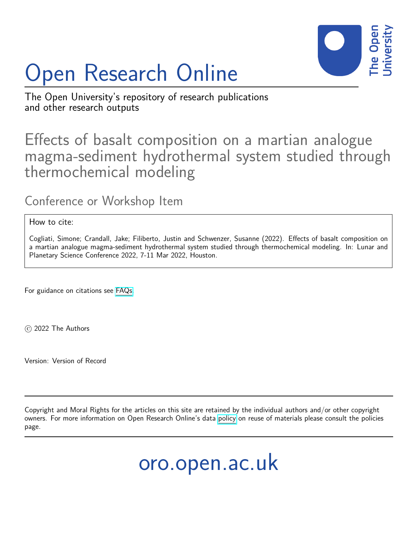

## Open Research Online

The Open University's repository of research publications and other research outputs

## Effects of basalt composition on a martian analogue magma-sediment hydrothermal system studied through thermochemical modeling

Conference or Workshop Item

How to cite:

Cogliati, Simone; Crandall, Jake; Filiberto, Justin and Schwenzer, Susanne (2022). Effects of basalt composition on a martian analogue magma-sediment hydrothermal system studied through thermochemical modeling. In: Lunar and Planetary Science Conference 2022, 7-11 Mar 2022, Houston.

For guidance on citations see [FAQs.](http://oro.open.ac.uk/help/helpfaq.html)

c 2022 The Authors

Version: Version of Record

Copyright and Moral Rights for the articles on this site are retained by the individual authors and/or other copyright owners. For more information on Open Research Online's data [policy](http://oro.open.ac.uk/policies.html) on reuse of materials please consult the policies page.

oro.open.ac.uk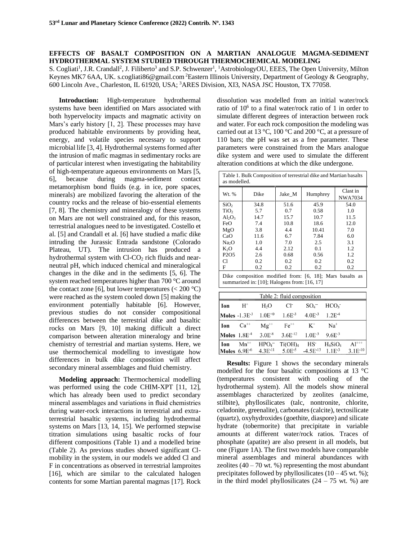## **EFFECTS OF BASALT COMPOSITION ON A MARTIAN ANALOGUE MAGMA-SEDIMENT HYDROTHERMAL SYSTEM STUDIED THROUGH THERMOCHEMICAL MODELING**

S. Cogliati<sup>1</sup>, J.R. Crandall<sup>2</sup>, J. Filiberto<sup>3</sup> and S.P. Schwenzer<sup>1</sup>, <sup>1</sup>AstrobiologyOU, EEES, The Open University, Milton Keynes MK7 6AA, UK. s.cogliati86@gmail.com<sup>2</sup>Eastern Illinois University, Department of Geology & Geography, 600 Lincoln Ave., Charleston, IL 61920, USA; <sup>3</sup>ARES Division, XI3, NASA JSC Houston, TX 77058.

**Introduction:** High-temperature hydrothermal systems have been identified on Mars associated with both hypervelocity impacts and magmatic activity on Mars's early history [1, 2]. These processes may have produced habitable environments by providing heat, energy, and volatile species necessary to support microbial life [3, 4]. Hydrothermal systems formed after the intrusion of mafic magmas in sedimentary rocks are of particular interest when investigating the habitability of high-temperature aqueous environments on Mars [5, 6], because during magma-sediment contact metamorphism bond fluids (e.g. in ice, pore spaces, minerals) are mobilized favoring the alteration of the country rocks and the release of bio-essential elements [7, 8]. The chemistry and mineralogy of these systems on Mars are not well constrained and, for this reason, terrestrial analogues need to be investigated. Costello et al. [5] and Crandall et al. [6] have studied a mafic dike intruding the Jurassic Entrada sandstone (Colorado Plateau, UT). The intrusion has produced a hydrothermal system with  $Cl$ - $CO<sub>2</sub>$  rich fluids and nearneutral pH, which induced chemical and mineralogical changes in the dike and in the sediments [5, 6]. The system reached temperatures higher than 700 °C around the contact zone [6], but lower temperatures  $(< 200 °C)$ were reached as the system cooled down [5] making the environment potentially habitable [6]. However, previous studies do not consider compositional differences between the terrestrial dike and basaltic rocks on Mars [9, 10] making difficult a direct comparison between alteration mineralogy and brine chemistry of terrestrial and martian systems. Here, we use thermochemical modelling to investigate how differences in bulk dike composition will affect secondary mineral assemblages and fluid chemistry.

**Modeling approach:** Thermochemical modelling was performed using the code CHIM-XPT [11, 12], which has already been used to predict secondary mineral assemblages and variations in fluid chemistries during water-rock interactions in terrestrial and extraterrestrial basaltic systems, including hydrothermal systems on Mars [13, 14, 15]. We performed stepwise titration simulations using basaltic rocks of four different compositions (Table 1) and a modelled brine (Table 2). As previous studies showed significant Clmobility in the system, in our models we added Cl and F in concentrations as observed in terrestrial lamproites [16], which are similar to the calculated halogen contents for some Martian parental magmas [17]. Rock dissolution was modelled from an initial water/rock ratio of 10<sup>6</sup> to a final water/rock ratio of 1 in order to simulate different degrees of interaction between rock and water. For each rock composition the modeling was carried out at 13 °C, 100 °C and 200 °C, at a pressure of 110 bars; the pH was set as a free parameter. These parameters were constrained from the Mars analogue dike system and were used to simulate the different alteration conditions at which the dike undergone.

| Table 1. Bulk Composition of terrestrial dike and Martian basalts<br>as modelled.                        |      |        |          |                     |  |  |  |  |  |
|----------------------------------------------------------------------------------------------------------|------|--------|----------|---------------------|--|--|--|--|--|
| Wt. %                                                                                                    | Dike | Jake M | Humphrey | Clast in<br>NWA7034 |  |  |  |  |  |
| SiO <sub>2</sub>                                                                                         | 34.8 | 51.6   | 45.9     | 54.0                |  |  |  |  |  |
| TiO <sub>2</sub>                                                                                         | 5.7  | 0.7    | 0.58     | 1.0                 |  |  |  |  |  |
| $Al_2O_3$                                                                                                | 14.7 | 15.7   | 10.7     | 11.5                |  |  |  |  |  |
| FeO                                                                                                      | 7.4  | 10.8   | 18.6     | 12.0                |  |  |  |  |  |
| MgO                                                                                                      | 3.8  | 4.4    | 10.41    | 7.0                 |  |  |  |  |  |
| CaO                                                                                                      | 11.6 | 6.7    | 7.84     | 6.0                 |  |  |  |  |  |
| Na <sub>2</sub> O                                                                                        | 1.0  | 7.0    | 2.5      | 3.1                 |  |  |  |  |  |
| K <sub>2</sub> O                                                                                         | 4.4  | 2.12   | 0.1      | 1.2                 |  |  |  |  |  |
| P <sub>2</sub> O <sub>5</sub>                                                                            | 2.6  | 0.68   | 0.56     | 1.2                 |  |  |  |  |  |
| C1                                                                                                       | 0.2  | 0.2    | 0.2      | 0.2                 |  |  |  |  |  |
| F                                                                                                        | 0.2  | 0.2    | 0.2      | 0.2                 |  |  |  |  |  |
| Dike composition modified from: [6, 18]; Mars basalts as<br>summarized in: [10]; Halogens from: [16, 17] |      |        |          |                     |  |  |  |  |  |

| Table 2: fluid composition |                   |                                       |              |                            |                  |              |  |  |
|----------------------------|-------------------|---------------------------------------|--------------|----------------------------|------------------|--------------|--|--|
| Ion                        | $H^+$             | $H_2O$                                | Cŀ           | $SO_4^-$                   | HCO <sub>3</sub> |              |  |  |
|                            |                   | <b>Moles</b> $-1.3E^{-3}$ $1.0E^{+0}$ | $1.6E^{-3}$  | $4.0E^{-3}$                | $1.2E^{-4}$      |              |  |  |
| Ion                        | $Ca^{++}$         | $Mg^{++}$                             | $Fe^{++}$    | $K^+$                      | $Na+$            |              |  |  |
| Moles $1.8E-4$             |                   | $3.0E^{-8}$                           | $3.6E^{-12}$ | $1.0E^{-3}$                | $9.6E^{-3}$      |              |  |  |
| Ion                        | $Mn^{++}$         | HPO <sub>4</sub>                      | $Ti(OH)_4$   | HS <sup>-</sup>            | $H_4SiO_4$       | $Al^{++}$    |  |  |
|                            | Moles $6.9E^{-6}$ | $4.3E^{-11}$                          | $5.0E^{-5}$  | $-4.5E^{-13}$ 1.1 $E^{-3}$ |                  | $3.1E^{-10}$ |  |  |

**Results:** Figure 1 shows the secondary minerals modelled for the four basaltic compositions at 13 °C (temperatures consistent with cooling of the hydrothermal system). All the models show mineral assemblages characterized by zeolites (analcime, stilbite), phyllosilicates (talc, nontronite, chlorite, celadonite, greenalite), carbonates (calcite), tectosilicate (quartz), oxyhydroxides (goethite, diaspore) and silicate hydrate (tobermorite) that precipitate in variable amounts at different water/rock ratios. Traces of phosphate (apatite) are also present in all models, but one (Figure 1A). The first two models have comparable mineral assemblages and mineral abundances with zeolites  $(40 - 70 \text{ wt. } % )$  representing the most abundant precipitates followed by phyllosilicates  $(10 - 45 \text{ wt. } %)$ ; in the third model phyllosilicates  $(24 - 75 \text{ wt. } %)$  are